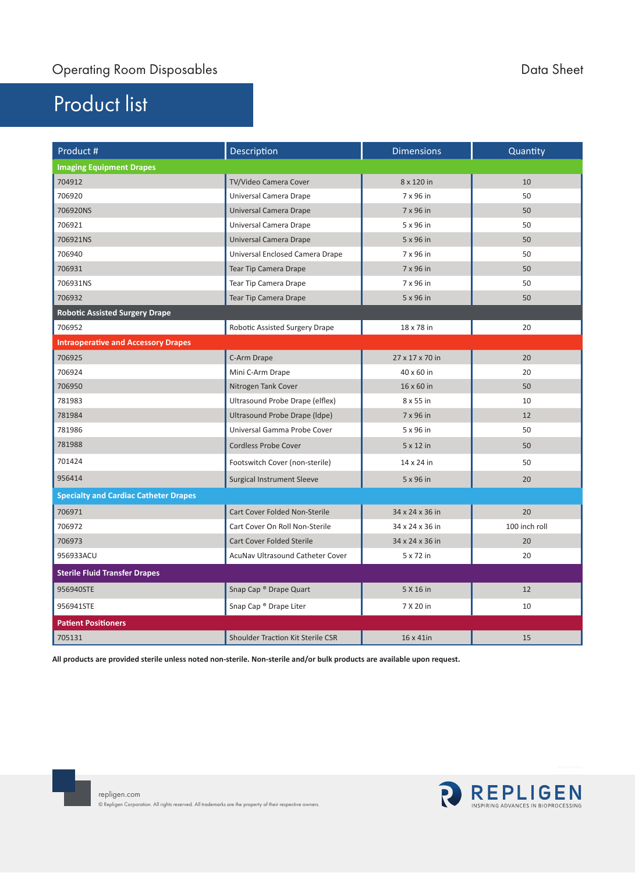## Product list

| Product #                                    | Description                              | <b>Dimensions</b> | Quantity      |
|----------------------------------------------|------------------------------------------|-------------------|---------------|
| <b>Imaging Equipment Drapes</b>              |                                          |                   |               |
| 704912                                       | TV/Video Camera Cover                    | 8 x 120 in        | 10            |
| 706920                                       | Universal Camera Drape                   | 7 x 96 in         | 50            |
| 706920NS                                     | Universal Camera Drape                   | 7 x 96 in         | 50            |
| 706921                                       | Universal Camera Drape                   | 5 x 96 in         | 50            |
| 706921NS                                     | Universal Camera Drape                   | 5 x 96 in         | 50            |
| 706940                                       | Universal Enclosed Camera Drape          | 7 x 96 in         | 50            |
| 706931                                       | <b>Tear Tip Camera Drape</b>             | 7 x 96 in         | 50            |
| 706931NS                                     | <b>Tear Tip Camera Drape</b>             | 7 x 96 in         | 50            |
| 706932                                       | <b>Tear Tip Camera Drape</b>             | 5 x 96 in         | 50            |
| <b>Robotic Assisted Surgery Drape</b>        |                                          |                   |               |
| 706952                                       | Robotic Assisted Surgery Drape           | 18 x 78 in        | 20            |
| <b>Intraoperative and Accessory Drapes</b>   |                                          |                   |               |
| 706925                                       | C-Arm Drape                              | 27 x 17 x 70 in   | 20            |
| 706924                                       | Mini C-Arm Drape                         | 40 x 60 in        | 20            |
| 706950                                       | Nitrogen Tank Cover                      | 16 x 60 in        | 50            |
| 781983                                       | Ultrasound Probe Drape (elflex)          | 8 x 55 in         | 10            |
| 781984                                       | Ultrasound Probe Drape (Idpe)            | 7 x 96 in         | 12            |
| 781986                                       | Universal Gamma Probe Cover              | 5 x 96 in         | 50            |
| 781988                                       | <b>Cordless Probe Cover</b>              | 5 x 12 in         | 50            |
| 701424                                       | Footswitch Cover (non-sterile)           | 14 x 24 in        | 50            |
| 956414                                       | <b>Surgical Instrument Sleeve</b>        | 5 x 96 in         | 20            |
| <b>Specialty and Cardiac Catheter Drapes</b> |                                          |                   |               |
| 706971                                       | Cart Cover Folded Non-Sterile            | 34 x 24 x 36 in   | 20            |
| 706972                                       | Cart Cover On Roll Non-Sterile           | 34 x 24 x 36 in   | 100 inch roll |
| 706973                                       | <b>Cart Cover Folded Sterile</b>         | 34 x 24 x 36 in   | 20            |
| 956933ACU                                    | AcuNav Ultrasound Catheter Cover         | 5 x 72 in         | 20            |
| <b>Sterile Fluid Transfer Drapes</b>         |                                          |                   |               |
| 956940STE                                    | Snap Cap ® Drape Quart                   | 5 X 16 in         | 12            |
| 956941STE                                    | Snap Cap <sup>®</sup> Drape Liter        | 7 X 20 in         | 10            |
| <b>Patient Positioners</b>                   |                                          |                   |               |
| 705131                                       | <b>Shoulder Traction Kit Sterile CSR</b> | $16 \times 41$ in | 15            |

**All products are provided sterile unless noted non-sterile. Non-sterile and/or bulk products are available upon request.** 



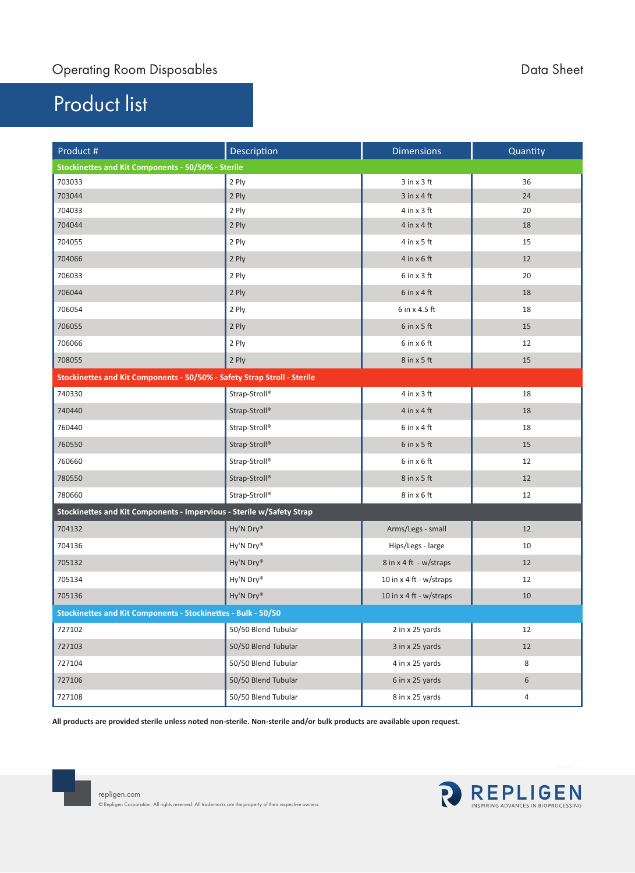## Product list

| Product #                                                                | Description         | <b>Dimensions</b>         | Quantity |  |  |
|--------------------------------------------------------------------------|---------------------|---------------------------|----------|--|--|
| Stockinettes and Kit Components - 50/50% - Sterile                       |                     |                           |          |  |  |
| 703033                                                                   | 2 Ply               | $3$ in $x$ $3$ ft         | 36       |  |  |
| 703044                                                                   | 2 Ply               | $3$ in $x$ 4 ft           | 24       |  |  |
| 704033                                                                   | 2 Ply               | $4$ in $x$ $3$ ft         | 20       |  |  |
| 704044                                                                   | 2 Ply               | $4$ in $x$ 4 ft           | 18       |  |  |
| 704055                                                                   | 2 Ply               | $4$ in $x$ 5 ft           | 15       |  |  |
| 704066                                                                   | 2 Ply               | $4$ in $x$ 6 ft           | 12       |  |  |
| 706033                                                                   | 2 Ply               | $6$ in $x$ 3 ft           | 20       |  |  |
| 706044                                                                   | 2 Ply               | $6$ in $x$ 4 ft           | 18       |  |  |
| 706054                                                                   | 2 Ply               | 6 in x 4.5 ft             | 18       |  |  |
| 706055                                                                   | 2 Ply               | $6$ in $x$ 5 ft           | 15       |  |  |
| 706066                                                                   | 2 Ply               | $6$ in $x$ 6 ft           | 12       |  |  |
| 708055                                                                   | 2 Ply               | $8$ in $x$ 5 ft           | 15       |  |  |
| Stockinettes and Kit Components - 50/50% - Safety Strap Stroll - Sterile |                     |                           |          |  |  |
| 740330                                                                   | Strap-Stroll®       | $4$ in $x$ $3$ ft         | 18       |  |  |
| 740440                                                                   | Strap-Stroll®       | $4$ in $\times$ 4 ft      | 18       |  |  |
| 760440                                                                   | Strap-Stroll®       | $6$ in $x$ 4 ft           | 18       |  |  |
| 760550                                                                   | Strap-Stroll®       | $6$ in $x$ 5 ft           | 15       |  |  |
| 760660                                                                   | Strap-Stroll®       | $6$ in $x$ $6$ ft         | 12       |  |  |
| 780550                                                                   | Strap-Stroll®       | $8$ in $x$ 5 ft           | 12       |  |  |
| 780660                                                                   | Strap-Stroll®       | $8$ in $x$ 6 ft           | 12       |  |  |
| Stockinettes and Kit Components - Impervious - Sterile w/Safety Strap    |                     |                           |          |  |  |
| 704132                                                                   | Hy'N Dry®           | Arms/Legs - small         | 12       |  |  |
| 704136                                                                   | Hy'N Dry®           | Hips/Legs - large         | 10       |  |  |
| 705132                                                                   | Hy'N Dry®           | 8 in x 4 ft - w/straps    | 12       |  |  |
| 705134                                                                   | Hy'N Dry®           | 10 in $x$ 4 ft - w/straps | 12       |  |  |
| 705136                                                                   | Hy'N Dry®           | 10 in x 4 ft - w/straps   | 10       |  |  |
| Stockinettes and Kit Components - Stockinettes - Bulk - 50/50            |                     |                           |          |  |  |
| 727102                                                                   | 50/50 Blend Tubular | 2 in x 25 yards           | 12       |  |  |
| 727103                                                                   | 50/50 Blend Tubular | 3 in x 25 yards           | 12       |  |  |
| 727104                                                                   | 50/50 Blend Tubular | 4 in x 25 yards           | 8        |  |  |
| 727106                                                                   | 50/50 Blend Tubular | 6 in x 25 yards           | 6        |  |  |
| 727108                                                                   | 50/50 Blend Tubular | 8 in x 25 yards           | 4        |  |  |

**All products are provided sterile unless noted non-sterile. Non-sterile and/or bulk products are available upon request.**